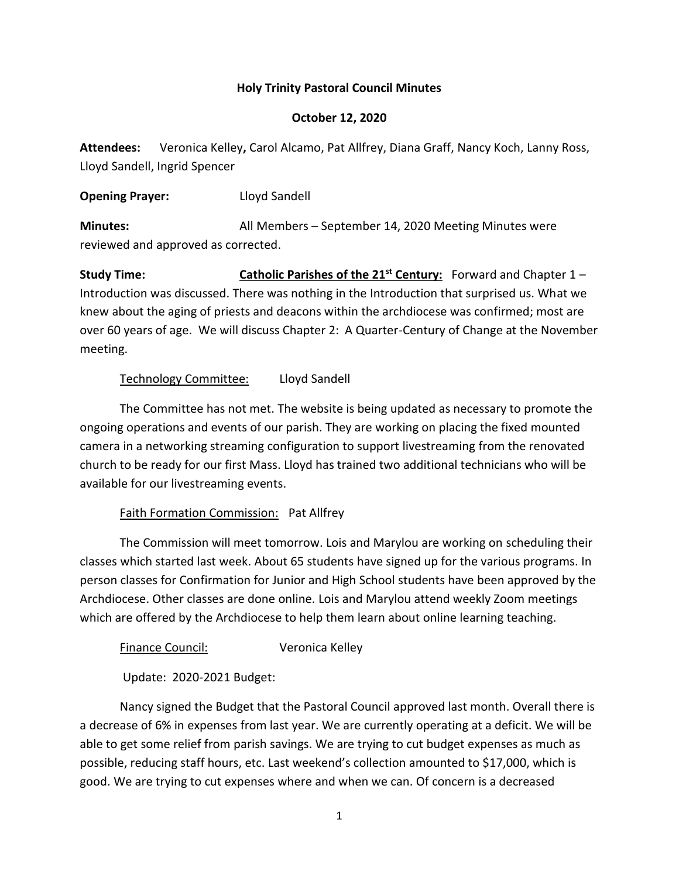#### **Holy Trinity Pastoral Council Minutes**

#### **October 12, 2020**

**Attendees:** Veronica Kelley**,** Carol Alcamo, Pat Allfrey, Diana Graff, Nancy Koch, Lanny Ross, Lloyd Sandell, Ingrid Spencer

**Opening Prayer:** Lloyd Sandell

**Minutes:** All Members – September 14, 2020 Meeting Minutes were reviewed and approved as corrected.

**Study Time: Catholic Parishes of the 21st Century:** Forward and Chapter 1 – Introduction was discussed. There was nothing in the Introduction that surprised us. What we knew about the aging of priests and deacons within the archdiocese was confirmed; most are over 60 years of age. We will discuss Chapter 2: A Quarter-Century of Change at the November meeting.

## Technology Committee: Lloyd Sandell

The Committee has not met. The website is being updated as necessary to promote the ongoing operations and events of our parish. They are working on placing the fixed mounted camera in a networking streaming configuration to support livestreaming from the renovated church to be ready for our first Mass. Lloyd has trained two additional technicians who will be available for our livestreaming events.

#### Faith Formation Commission: Pat Allfrey

The Commission will meet tomorrow. Lois and Marylou are working on scheduling their classes which started last week. About 65 students have signed up for the various programs. In person classes for Confirmation for Junior and High School students have been approved by the Archdiocese. Other classes are done online. Lois and Marylou attend weekly Zoom meetings which are offered by the Archdiocese to help them learn about online learning teaching.

Finance Council: Veronica Kelley

Update: 2020-2021 Budget:

Nancy signed the Budget that the Pastoral Council approved last month. Overall there is a decrease of 6% in expenses from last year. We are currently operating at a deficit. We will be able to get some relief from parish savings. We are trying to cut budget expenses as much as possible, reducing staff hours, etc. Last weekend's collection amounted to \$17,000, which is good. We are trying to cut expenses where and when we can. Of concern is a decreased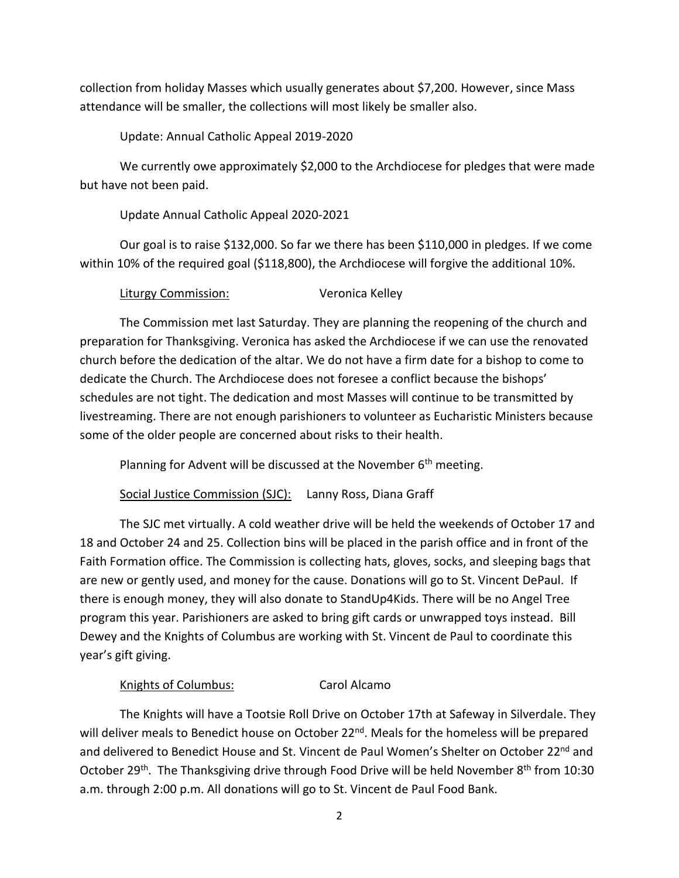collection from holiday Masses which usually generates about \$7,200. However, since Mass attendance will be smaller, the collections will most likely be smaller also.

Update: Annual Catholic Appeal 2019-2020

We currently owe approximately \$2,000 to the Archdiocese for pledges that were made but have not been paid.

Update Annual Catholic Appeal 2020-2021

Our goal is to raise \$132,000. So far we there has been \$110,000 in pledges. If we come within 10% of the required goal (\$118,800), the Archdiocese will forgive the additional 10%.

Liturgy Commission: Veronica Kelley

The Commission met last Saturday. They are planning the reopening of the church and preparation for Thanksgiving. Veronica has asked the Archdiocese if we can use the renovated church before the dedication of the altar. We do not have a firm date for a bishop to come to dedicate the Church. The Archdiocese does not foresee a conflict because the bishops' schedules are not tight. The dedication and most Masses will continue to be transmitted by livestreaming. There are not enough parishioners to volunteer as Eucharistic Ministers because some of the older people are concerned about risks to their health.

Planning for Advent will be discussed at the November  $6<sup>th</sup>$  meeting.

Social Justice Commission (SJC): Lanny Ross, Diana Graff

The SJC met virtually. A cold weather drive will be held the weekends of October 17 and 18 and October 24 and 25. Collection bins will be placed in the parish office and in front of the Faith Formation office. The Commission is collecting hats, gloves, socks, and sleeping bags that are new or gently used, and money for the cause. Donations will go to St. Vincent DePaul. If there is enough money, they will also donate to StandUp4Kids. There will be no Angel Tree program this year. Parishioners are asked to bring gift cards or unwrapped toys instead. Bill Dewey and the Knights of Columbus are working with St. Vincent de Paul to coordinate this year's gift giving.

## Knights of Columbus: Carol Alcamo

The Knights will have a Tootsie Roll Drive on October 17th at Safeway in Silverdale. They will deliver meals to Benedict house on October 22<sup>nd</sup>. Meals for the homeless will be prepared and delivered to Benedict House and St. Vincent de Paul Women's Shelter on October 22<sup>nd</sup> and October 29<sup>th</sup>. The Thanksgiving drive through Food Drive will be held November 8<sup>th</sup> from 10:30 a.m. through 2:00 p.m. All donations will go to St. Vincent de Paul Food Bank.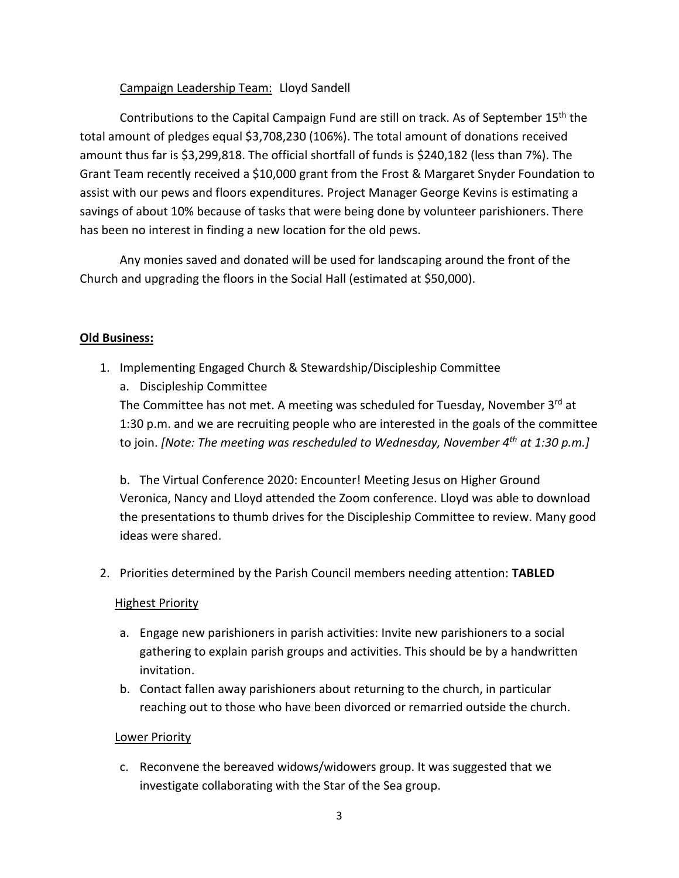# Campaign Leadership Team: Lloyd Sandell

Contributions to the Capital Campaign Fund are still on track. As of September 15<sup>th</sup> the total amount of pledges equal \$3,708,230 (106%). The total amount of donations received amount thus far is \$3,299,818. The official shortfall of funds is \$240,182 (less than 7%). The Grant Team recently received a \$10,000 grant from the Frost & Margaret Snyder Foundation to assist with our pews and floors expenditures. Project Manager George Kevins is estimating a savings of about 10% because of tasks that were being done by volunteer parishioners. There has been no interest in finding a new location for the old pews.

Any monies saved and donated will be used for landscaping around the front of the Church and upgrading the floors in the Social Hall (estimated at \$50,000).

## **Old Business:**

- 1. Implementing Engaged Church & Stewardship/Discipleship Committee
	- a. Discipleship Committee The Committee has not met. A meeting was scheduled for Tuesday, November 3rd at

1:30 p.m. and we are recruiting people who are interested in the goals of the committee to join. *[Note: The meeting was rescheduled to Wednesday, November 4th at 1:30 p.m.]*

b. The Virtual Conference 2020: Encounter! Meeting Jesus on Higher Ground Veronica, Nancy and Lloyd attended the Zoom conference. Lloyd was able to download the presentations to thumb drives for the Discipleship Committee to review. Many good ideas were shared.

2. Priorities determined by the Parish Council members needing attention: **TABLED**

## **Highest Priority**

- a. Engage new parishioners in parish activities: Invite new parishioners to a social gathering to explain parish groups and activities. This should be by a handwritten invitation.
- b. Contact fallen away parishioners about returning to the church, in particular reaching out to those who have been divorced or remarried outside the church.

## Lower Priority

c. Reconvene the bereaved widows/widowers group. It was suggested that we investigate collaborating with the Star of the Sea group.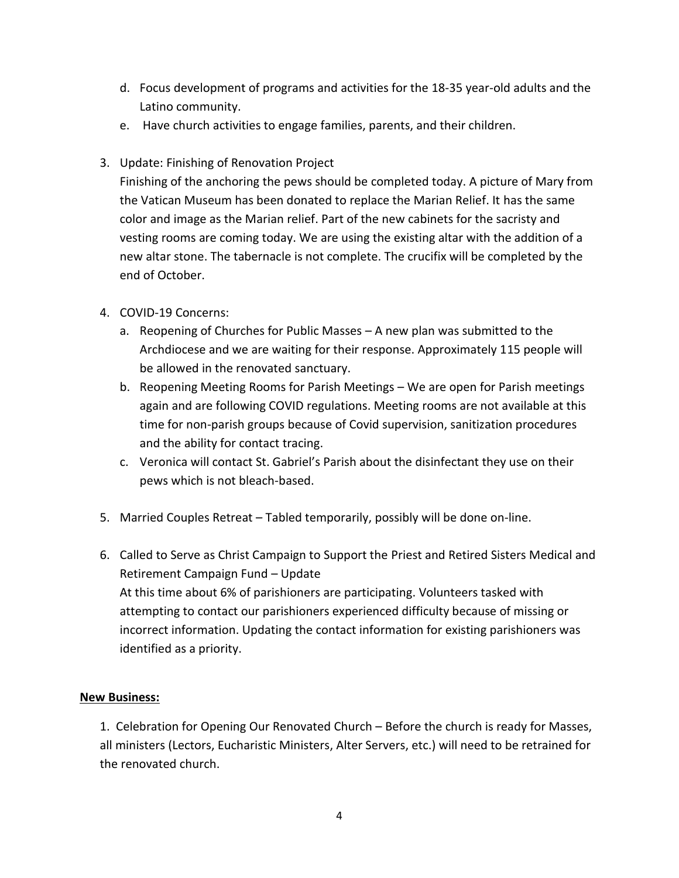- d. Focus development of programs and activities for the 18-35 year-old adults and the Latino community.
- e. Have church activities to engage families, parents, and their children.
- 3. Update: Finishing of Renovation Project

Finishing of the anchoring the pews should be completed today. A picture of Mary from the Vatican Museum has been donated to replace the Marian Relief. It has the same color and image as the Marian relief. Part of the new cabinets for the sacristy and vesting rooms are coming today. We are using the existing altar with the addition of a new altar stone. The tabernacle is not complete. The crucifix will be completed by the end of October.

- 4. COVID-19 Concerns:
	- a. Reopening of Churches for Public Masses A new plan was submitted to the Archdiocese and we are waiting for their response. Approximately 115 people will be allowed in the renovated sanctuary.
	- b. Reopening Meeting Rooms for Parish Meetings We are open for Parish meetings again and are following COVID regulations. Meeting rooms are not available at this time for non-parish groups because of Covid supervision, sanitization procedures and the ability for contact tracing.
	- c. Veronica will contact St. Gabriel's Parish about the disinfectant they use on their pews which is not bleach-based.
- 5. Married Couples Retreat Tabled temporarily, possibly will be done on-line.
- 6. Called to Serve as Christ Campaign to Support the Priest and Retired Sisters Medical and Retirement Campaign Fund – Update At this time about 6% of parishioners are participating. Volunteers tasked with attempting to contact our parishioners experienced difficulty because of missing or incorrect information. Updating the contact information for existing parishioners was identified as a priority.

## **New Business:**

1. Celebration for Opening Our Renovated Church – Before the church is ready for Masses, all ministers (Lectors, Eucharistic Ministers, Alter Servers, etc.) will need to be retrained for the renovated church.